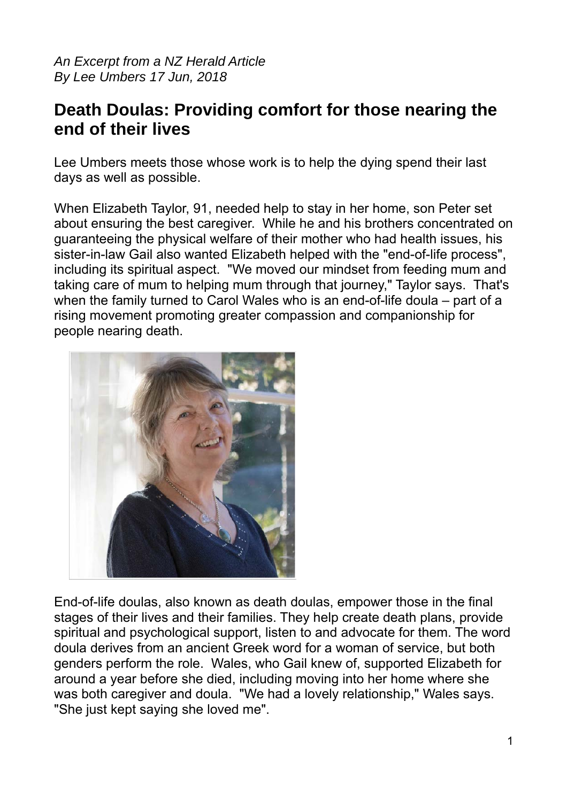*An Excerpt from a NZ Herald Article By Lee Umbers 17 Jun, 2018*

## **Death Doulas: Providing comfort for those nearing the end of their lives**

Lee Umbers meets those whose work is to help the dying spend their last days as well as possible.

When Elizabeth Taylor, 91, needed help to stay in her home, son Peter set about ensuring the best caregiver. While he and his brothers concentrated on guaranteeing the physical welfare of their mother who had health issues, his sister-in-law Gail also wanted Elizabeth helped with the "end-of-life process", including its spiritual aspect. "We moved our mindset from feeding mum and taking care of mum to helping mum through that journey," Taylor says. That's when the family turned to Carol Wales who is an end-of-life doula – part of a rising movement promoting greater compassion and companionship for people nearing death.



End-of-life doulas, also known as death doulas, empower those in the final stages of their lives and their families. They help create death plans, provide spiritual and psychological support, listen to and advocate for them. The word doula derives from an ancient Greek word for a woman of service, but both genders perform the role. Wales, who Gail knew of, supported Elizabeth for around a year before she died, including moving into her home where she was both caregiver and doula. "We had a lovely relationship," Wales says. "She just kept saying she loved me".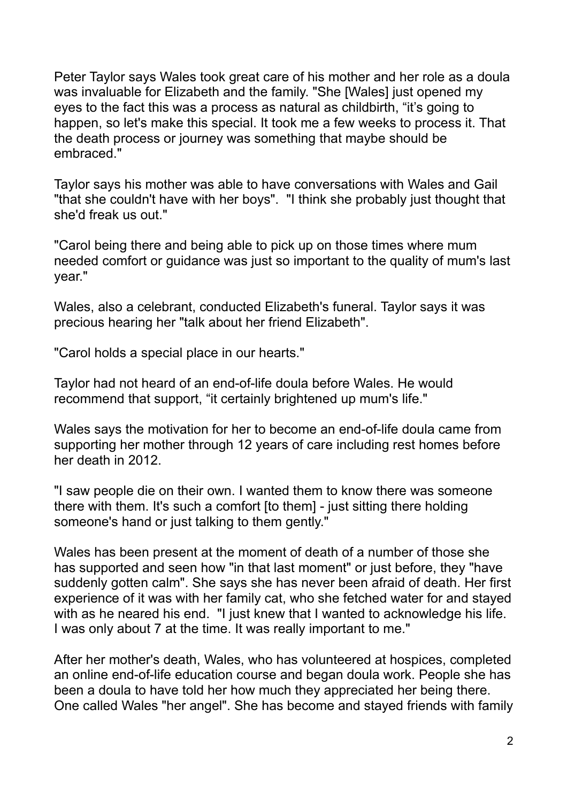Peter Taylor says Wales took great care of his mother and her role as a doula was invaluable for Elizabeth and the family. "She [Wales] just opened my eyes to the fact this was a process as natural as childbirth, "it's going to happen, so let's make this special. It took me a few weeks to process it. That the death process or journey was something that maybe should be embraced."

Taylor says his mother was able to have conversations with Wales and Gail "that she couldn't have with her boys". "I think she probably just thought that she'd freak us out."

"Carol being there and being able to pick up on those times where mum needed comfort or guidance was just so important to the quality of mum's last year."

Wales, also a celebrant, conducted Elizabeth's funeral. Taylor says it was precious hearing her "talk about her friend Elizabeth".

"Carol holds a special place in our hearts."

Taylor had not heard of an end-of-life doula before Wales. He would recommend that support, "it certainly brightened up mum's life."

Wales says the motivation for her to become an end-of-life doula came from supporting her mother through 12 years of care including rest homes before her death in 2012.

"I saw people die on their own. I wanted them to know there was someone there with them. It's such a comfort [to them] - just sitting there holding someone's hand or just talking to them gently."

Wales has been present at the moment of death of a number of those she has supported and seen how "in that last moment" or just before, they "have suddenly gotten calm". She says she has never been afraid of death. Her first experience of it was with her family cat, who she fetched water for and stayed with as he neared his end. "I just knew that I wanted to acknowledge his life. I was only about 7 at the time. It was really important to me."

After her mother's death, Wales, who has volunteered at hospices, completed an online end-of-life education course and began doula work. People she has been a doula to have told her how much they appreciated her being there. One called Wales "her angel". She has become and stayed friends with family